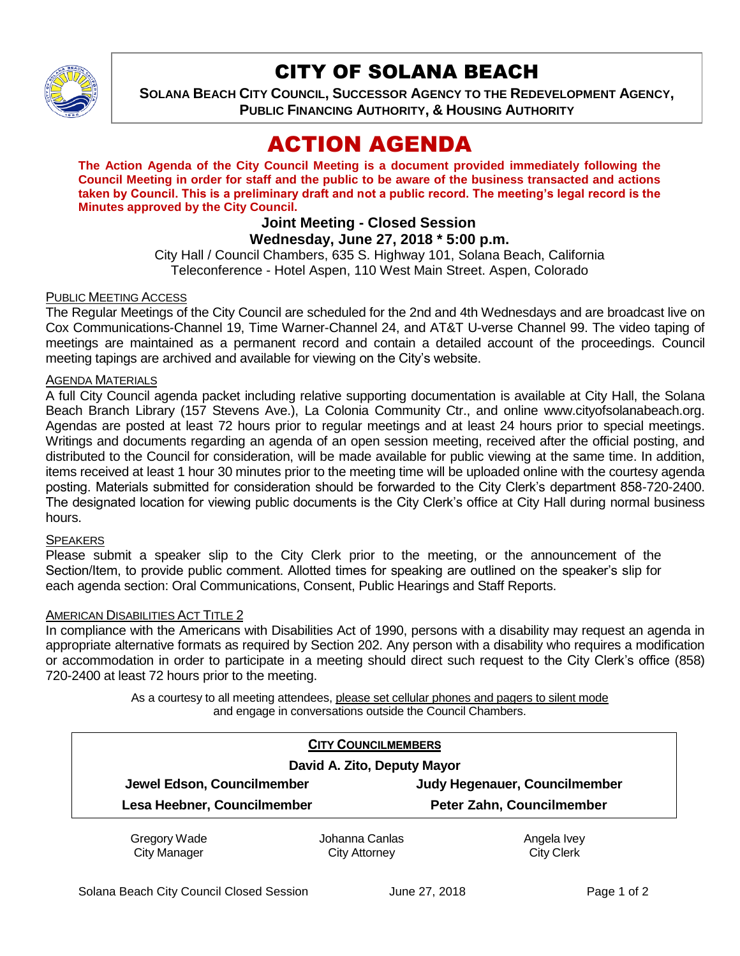

## CITY OF SOLANA BEACH

**SOLANA BEACH CITY COUNCIL, SUCCESSOR AGENCY TO THE REDEVELOPMENT AGENCY, PUBLIC FINANCING AUTHORITY, & HOUSING AUTHORITY** 

# ACTION AGENDA

**The Action Agenda of the City Council Meeting is a document provided immediately following the Council Meeting in order for staff and the public to be aware of the business transacted and actions taken by Council. This is a preliminary draft and not a public record. The meeting's legal record is the Minutes approved by the City Council.**

## **Joint Meeting - Closed Session**

## **Wednesday, June 27, 2018 \* 5:00 p.m.**

City Hall / Council Chambers, 635 S. Highway 101, Solana Beach, California Teleconference - Hotel Aspen, 110 West Main Street. Aspen, Colorado

#### PUBLIC MEETING ACCESS

The Regular Meetings of the City Council are scheduled for the 2nd and 4th Wednesdays and are broadcast live on Cox Communications-Channel 19, Time Warner-Channel 24, and AT&T U-verse Channel 99. The video taping of meetings are maintained as a permanent record and contain a detailed account of the proceedings. Council meeting tapings are archived and available for viewing on the City's website.

#### AGENDA MATERIALS

A full City Council agenda packet including relative supporting documentation is available at City Hall, the Solana Beach Branch Library (157 Stevens Ave.), La Colonia Community Ctr., and online www.cityofsolanabeach.org. Agendas are posted at least 72 hours prior to regular meetings and at least 24 hours prior to special meetings. Writings and documents regarding an agenda of an open session meeting, received after the official posting, and distributed to the Council for consideration, will be made available for public viewing at the same time. In addition, items received at least 1 hour 30 minutes prior to the meeting time will be uploaded online with the courtesy agenda posting. Materials submitted for consideration should be forwarded to the City Clerk's department 858-720-2400. The designated location for viewing public documents is the City Clerk's office at City Hall during normal business hours.

#### SPEAKERS

Please submit a speaker slip to the City Clerk prior to the meeting, or the announcement of the Section/Item, to provide public comment. Allotted times for speaking are outlined on the speaker's slip for each agenda section: Oral Communications, Consent, Public Hearings and Staff Reports.

#### AMERICAN DISABILITIES ACT TITLE 2

In compliance with the Americans with Disabilities Act of 1990, persons with a disability may request an agenda in appropriate alternative formats as required by Section 202. Any person with a disability who requires a modification or accommodation in order to participate in a meeting should direct such request to the City Clerk's office (858) 720-2400 at least 72 hours prior to the meeting.

> As a courtesy to all meeting attendees, please set cellular phones and pagers to silent mode and engage in conversations outside the Council Chambers.

|                             | <b>CITY COUNCILMEMBERS</b>  |                                      |  |
|-----------------------------|-----------------------------|--------------------------------------|--|
|                             | David A. Zito, Deputy Mayor |                                      |  |
| Jewel Edson, Councilmember  |                             | <b>Judy Hegenauer, Councilmember</b> |  |
| Lesa Heebner, Councilmember |                             | Peter Zahn, Councilmember            |  |
| Gregory Wade                | Johanna Canlas              | Angela Ivey                          |  |
| <b>City Manager</b>         | <b>City Attorney</b>        | <b>City Clerk</b>                    |  |